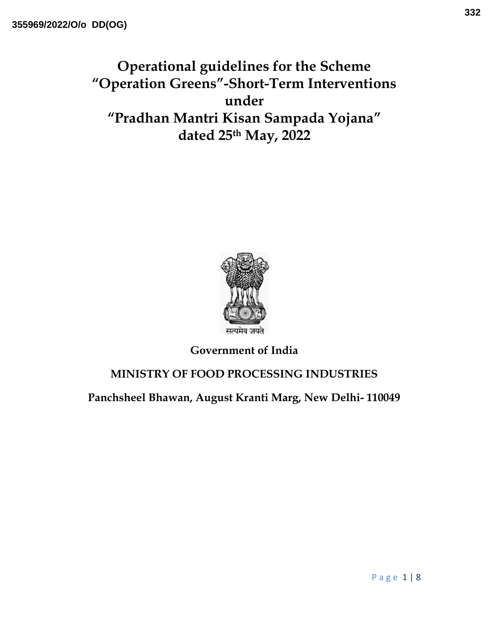Operational guidelines for the Scheme "Operation Greens"-Short-Term Interventions under "Pradhan Mantri Kisan Sampada Yojana" dated 25th May, 2022



Government of India

## MINISTRY OF FOOD PROCESSING INDUSTRIES

Panchsheel Bhawan, August Kranti Marg, New Delhi- 110049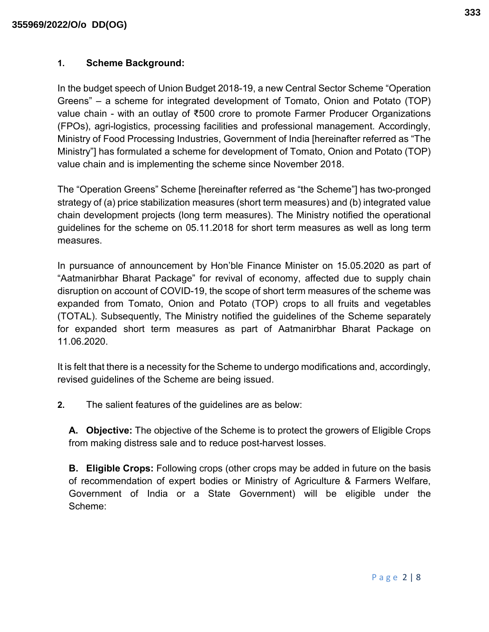## 1. Scheme Background:

In the budget speech of Union Budget 2018-19, a new Central Sector Scheme "Operation Greens" – a scheme for integrated development of Tomato, Onion and Potato (TOP) value chain - with an outlay of ₹500 crore to promote Farmer Producer Organizations (FPOs), agri-logistics, processing facilities and professional management. Accordingly, Ministry of Food Processing Industries, Government of India [hereinafter referred as "The Ministry"] has formulated a scheme for development of Tomato, Onion and Potato (TOP) value chain and is implementing the scheme since November 2018.

The "Operation Greens" Scheme [hereinafter referred as "the Scheme"] has two-pronged strategy of (a) price stabilization measures (short term measures) and (b) integrated value chain development projects (long term measures). The Ministry notified the operational guidelines for the scheme on 05.11.2018 for short term measures as well as long term measures.

In pursuance of announcement by Hon'ble Finance Minister on 15.05.2020 as part of "Aatmanirbhar Bharat Package" for revival of economy, affected due to supply chain disruption on account of COVID-19, the scope of short term measures of the scheme was expanded from Tomato, Onion and Potato (TOP) crops to all fruits and vegetables (TOTAL). Subsequently, The Ministry notified the guidelines of the Scheme separately for expanded short term measures as part of Aatmanirbhar Bharat Package on 11.06.2020.

It is felt that there is a necessity for the Scheme to undergo modifications and, accordingly, revised guidelines of the Scheme are being issued.

2. The salient features of the guidelines are as below:

A. Objective: The objective of the Scheme is to protect the growers of Eligible Crops from making distress sale and to reduce post-harvest losses.

**B.** Eligible Crops: Following crops (other crops may be added in future on the basis of recommendation of expert bodies or Ministry of Agriculture & Farmers Welfare, Government of India or a State Government) will be eligible under the Scheme: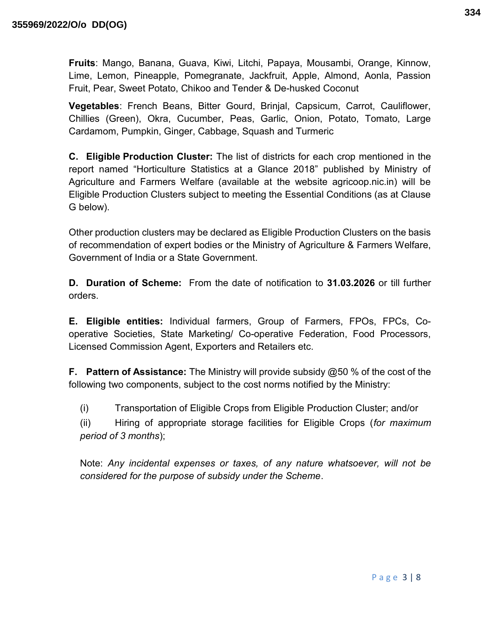Fruits: Mango, Banana, Guava, Kiwi, Litchi, Papaya, Mousambi, Orange, Kinnow, Lime, Lemon, Pineapple, Pomegranate, Jackfruit, Apple, Almond, Aonla, Passion Fruit, Pear, Sweet Potato, Chikoo and Tender & De-husked Coconut

Vegetables: French Beans, Bitter Gourd, Brinjal, Capsicum, Carrot, Cauliflower, Chillies (Green), Okra, Cucumber, Peas, Garlic, Onion, Potato, Tomato, Large Cardamom, Pumpkin, Ginger, Cabbage, Squash and Turmeric

C. Eligible Production Cluster: The list of districts for each crop mentioned in the report named "Horticulture Statistics at a Glance 2018" published by Ministry of Agriculture and Farmers Welfare (available at the website agricoop.nic.in) will be Eligible Production Clusters subject to meeting the Essential Conditions (as at Clause G below).

Other production clusters may be declared as Eligible Production Clusters on the basis of recommendation of expert bodies or the Ministry of Agriculture & Farmers Welfare, Government of India or a State Government.

D. Duration of Scheme: From the date of notification to 31.03.2026 or till further orders.

E. Eligible entities: Individual farmers, Group of Farmers, FPOs, FPCs, Cooperative Societies, State Marketing/ Co-operative Federation, Food Processors, Licensed Commission Agent, Exporters and Retailers etc.

**F.** Pattern of Assistance: The Ministry will provide subsidy @50 % of the cost of the following two components, subject to the cost norms notified by the Ministry:

(i) Transportation of Eligible Crops from Eligible Production Cluster; and/or

(ii) Hiring of appropriate storage facilities for Eligible Crops (for maximum period of 3 months);

Note: Any incidental expenses or taxes, of any nature whatsoever, will not be considered for the purpose of subsidy under the Scheme.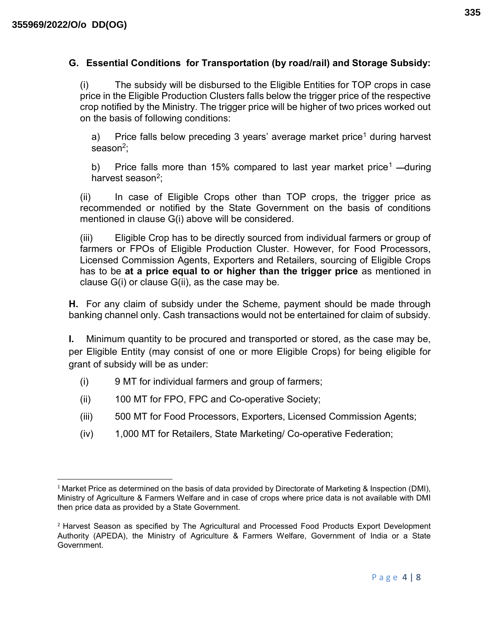## G. Essential Conditions for Transportation (by road/rail) and Storage Subsidy:

(i) The subsidy will be disbursed to the Eligible Entities for TOP crops in case price in the Eligible Production Clusters falls below the trigger price of the respective crop notified by the Ministry. The trigger price will be higher of two prices worked out on the basis of following conditions:

a) Price falls below preceding 3 years' average market price<sup>1</sup> during harvest season<sup>2</sup>;

b) Price falls more than 15% compared to last year market price<sup>1</sup> —during harvest season<sup>2</sup>;

(ii) In case of Eligible Crops other than TOP crops, the trigger price as recommended or notified by the State Government on the basis of conditions mentioned in clause G(i) above will be considered.

(iii) Eligible Crop has to be directly sourced from individual farmers or group of farmers or FPOs of Eligible Production Cluster. However, for Food Processors, Licensed Commission Agents, Exporters and Retailers, sourcing of Eligible Crops has to be at a price equal to or higher than the trigger price as mentioned in clause G(i) or clause G(ii), as the case may be.

H. For any claim of subsidy under the Scheme, payment should be made through banking channel only. Cash transactions would not be entertained for claim of subsidy.

I. Minimum quantity to be procured and transported or stored, as the case may be, per Eligible Entity (may consist of one or more Eligible Crops) for being eligible for grant of subsidy will be as under:

- (i) 9 MT for individual farmers and group of farmers;
- (ii) 100 MT for FPO, FPC and Co-operative Society;
- (iii) 500 MT for Food Processors, Exporters, Licensed Commission Agents;
- (iv) 1,000 MT for Retailers, State Marketing/ Co-operative Federation;

<sup>&</sup>lt;sup>1</sup> Market Price as determined on the basis of data provided by Directorate of Marketing & Inspection (DMI), Ministry of Agriculture & Farmers Welfare and in case of crops where price data is not available with DMI then price data as provided by a State Government.

<sup>2</sup> Harvest Season as specified by The Agricultural and Processed Food Products Export Development Authority (APEDA), the Ministry of Agriculture & Farmers Welfare, Government of India or a State Government.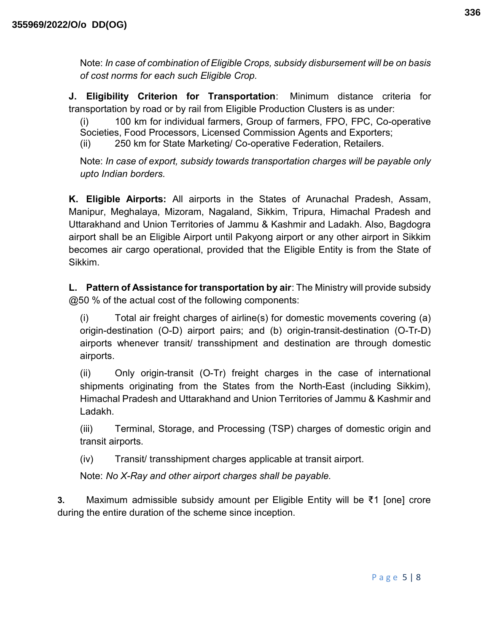Note: In case of combination of Eligible Crops, subsidy disbursement will be on basis of cost norms for each such Eligible Crop.

J. Eligibility Criterion for Transportation: Minimum distance criteria for transportation by road or by rail from Eligible Production Clusters is as under:

(i) 100 km for individual farmers, Group of farmers, FPO, FPC, Co-operative Societies, Food Processors, Licensed Commission Agents and Exporters;

(ii) 250 km for State Marketing/ Co-operative Federation, Retailers.

Note: In case of export, subsidy towards transportation charges will be payable only upto Indian borders.

K. Eligible Airports: All airports in the States of Arunachal Pradesh, Assam, Manipur, Meghalaya, Mizoram, Nagaland, Sikkim, Tripura, Himachal Pradesh and Uttarakhand and Union Territories of Jammu & Kashmir and Ladakh. Also, Bagdogra airport shall be an Eligible Airport until Pakyong airport or any other airport in Sikkim becomes air cargo operational, provided that the Eligible Entity is from the State of Sikkim.

L. Pattern of Assistance for transportation by air: The Ministry will provide subsidy @50 % of the actual cost of the following components:

(i) Total air freight charges of airline(s) for domestic movements covering (a) origin-destination (O-D) airport pairs; and (b) origin-transit-destination (O-Tr-D) airports whenever transit/ transshipment and destination are through domestic airports.

(ii) Only origin-transit (O-Tr) freight charges in the case of international shipments originating from the States from the North-East (including Sikkim), Himachal Pradesh and Uttarakhand and Union Territories of Jammu & Kashmir and Ladakh.

(iii) Terminal, Storage, and Processing (TSP) charges of domestic origin and transit airports.

(iv) Transit/ transshipment charges applicable at transit airport.

Note: No X-Ray and other airport charges shall be payable.

3. Maximum admissible subsidy amount per Eligible Entity will be ₹1 [one] crore during the entire duration of the scheme since inception.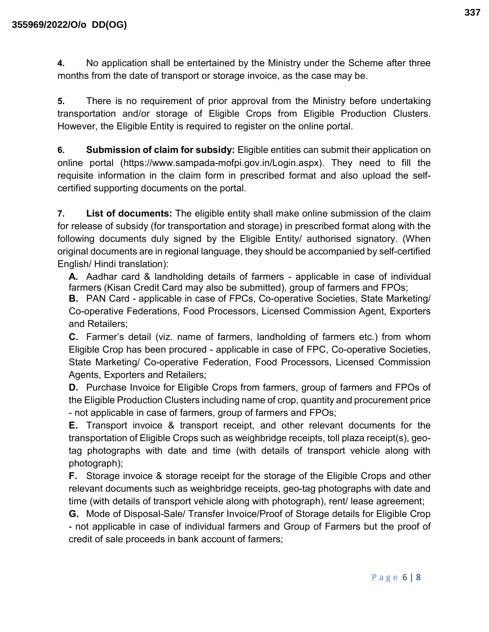4. No application shall be entertained by the Ministry under the Scheme after three months from the date of transport or storage invoice, as the case may be.

5. There is no requirement of prior approval from the Ministry before undertaking transportation and/or storage of Eligible Crops from Eligible Production Clusters. However, the Eligible Entity is required to register on the online portal.

6. Submission of claim for subsidy: Eligible entities can submit their application on online portal (https://www.sampada-mofpi.gov.in/Login.aspx). They need to fill the requisite information in the claim form in prescribed format and also upload the selfcertified supporting documents on the portal.

7. List of documents: The eligible entity shall make online submission of the claim for release of subsidy (for transportation and storage) in prescribed format along with the following documents duly signed by the Eligible Entity/ authorised signatory. (When original documents are in regional language, they should be accompanied by self-certified English/ Hindi translation):

A. Aadhar card & landholding details of farmers - applicable in case of individual farmers (Kisan Credit Card may also be submitted), group of farmers and FPOs;

B. PAN Card - applicable in case of FPCs, Co-operative Societies, State Marketing/ Co-operative Federations, Food Processors, Licensed Commission Agent, Exporters and Retailers;

C. Farmer's detail (viz. name of farmers, landholding of farmers etc.) from whom Eligible Crop has been procured - applicable in case of FPC, Co-operative Societies, State Marketing/ Co-operative Federation, Food Processors, Licensed Commission Agents, Exporters and Retailers;

D. Purchase Invoice for Eligible Crops from farmers, group of farmers and FPOs of the Eligible Production Clusters including name of crop, quantity and procurement price - not applicable in case of farmers, group of farmers and FPOs;

E. Transport invoice & transport receipt, and other relevant documents for the transportation of Eligible Crops such as weighbridge receipts, toll plaza receipt(s), geotag photographs with date and time (with details of transport vehicle along with photograph);

F. Storage invoice & storage receipt for the storage of the Eligible Crops and other relevant documents such as weighbridge receipts, geo-tag photographs with date and time (with details of transport vehicle along with photograph), rent/ lease agreement;

G. Mode of Disposal-Sale/ Transfer Invoice/Proof of Storage details for Eligible Crop - not applicable in case of individual farmers and Group of Farmers but the proof of credit of sale proceeds in bank account of farmers;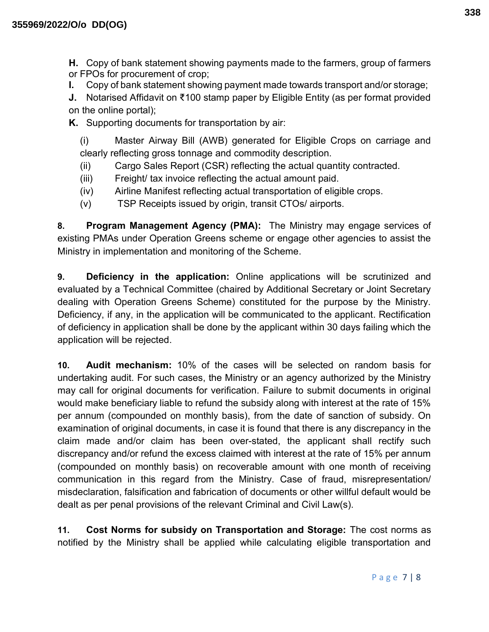H. Copy of bank statement showing payments made to the farmers, group of farmers or FPOs for procurement of crop;

I. Copy of bank statement showing payment made towards transport and/or storage;

J. Notarised Affidavit on ₹100 stamp paper by Eligible Entity (as per format provided on the online portal);

K. Supporting documents for transportation by air:

(i) Master Airway Bill (AWB) generated for Eligible Crops on carriage and clearly reflecting gross tonnage and commodity description.

- (ii) Cargo Sales Report (CSR) reflecting the actual quantity contracted.
- (iii) Freight/ tax invoice reflecting the actual amount paid.
- (iv) Airline Manifest reflecting actual transportation of eligible crops.
- (v) TSP Receipts issued by origin, transit CTOs/ airports.

8. Program Management Agency (PMA): The Ministry may engage services of existing PMAs under Operation Greens scheme or engage other agencies to assist the Ministry in implementation and monitoring of the Scheme.

9. Deficiency in the application: Online applications will be scrutinized and evaluated by a Technical Committee (chaired by Additional Secretary or Joint Secretary dealing with Operation Greens Scheme) constituted for the purpose by the Ministry. Deficiency, if any, in the application will be communicated to the applicant. Rectification of deficiency in application shall be done by the applicant within 30 days failing which the application will be rejected.

10. Audit mechanism: 10% of the cases will be selected on random basis for undertaking audit. For such cases, the Ministry or an agency authorized by the Ministry may call for original documents for verification. Failure to submit documents in original would make beneficiary liable to refund the subsidy along with interest at the rate of 15% per annum (compounded on monthly basis), from the date of sanction of subsidy. On examination of original documents, in case it is found that there is any discrepancy in the claim made and/or claim has been over-stated, the applicant shall rectify such discrepancy and/or refund the excess claimed with interest at the rate of 15% per annum (compounded on monthly basis) on recoverable amount with one month of receiving communication in this regard from the Ministry. Case of fraud, misrepresentation/ misdeclaration, falsification and fabrication of documents or other willful default would be dealt as per penal provisions of the relevant Criminal and Civil Law(s).

11. Cost Norms for subsidy on Transportation and Storage: The cost norms as notified by the Ministry shall be applied while calculating eligible transportation and